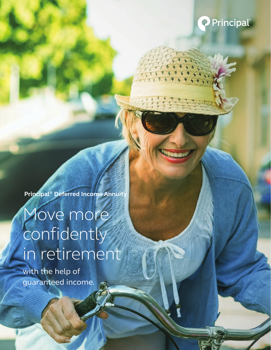

**Principal® Deferred Income Annuity**

# Move more confidently in retirement

with the help of guaranteed income.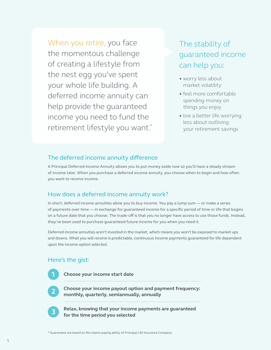When you retire, you face the momentous challenge of creating a lifestyle from the nest egg you've spent your whole life building. A deferred income annuity can help provide the guaranteed income you need to fund the retirement lifestyle you want.\*

## The stability of guaranteed income can help you:

- worry less about market volatility
- feel more comfortable spending money on things you enjoy
- live a better life worrying less about outliving your retirement savings

### The deferred income annuity difference

A Principal Deferred Income Annuity allows you to put money aside now so you'll have a steady stream of income later. When you purchase a deferred income annuity, you choose when to begin and how often you want to receive income.

## How does a deferred income annuity work?

In short, deferred income annuities allow you to buy income. You pay a lump sum — or make a series of payments over time — in exchange for guaranteed income for a specific period of time or life that begins on a future date that you choose. The trade-off is that you no longer have access to use those funds. Instead, they've been used to purchase guaranteed future income for you when you need it.

Deferred income annuities aren't invested in the market, which means you won't be exposed to market ups and downs. What you will receive is predictable, continuous income payments guaranteed for life dependent upon the income option selected.

## Here's the gist:

**Choose your income start date**

**Choose your income payout option and payment frequency: monthly, quarterly, semiannually, annually**

**Relax, knowing that your income payments are guaranteed for the time period you selected** 

\* Guarantees are based on the claims-paying ability of Principal Life Insurance Company.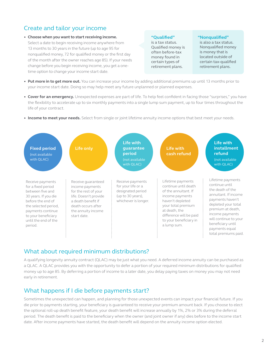## Create and tailor your income

**• Choose when you want to start receiving income.**  Select a date to begin receiving income anywhere from 13 months to 30 years in the future (up to age 95 for nonqualified money, 72 for qualified money or the first day of the month after the owner reaches age 85). If your needs change before you begin receiving income, you get a onetime option to change your income start date.

#### **"Qualified"**

is a tax status. Qualified money is often before-tax money found in certain types of retirement plans.

#### **"Nonqualified"**

is also a tax status. Nonqualified money is money that is located outside of certain tax-qualified retirement plans.

- **• Put more in to get more out.** You can increase your income by adding additional premiums up until 13 months prior to your income start date. Doing so may help meet any future unplanned or planned expenses.
- **• Cover for an emergency.** Unexpected expenses are part of life. To help feel confident in facing those "surprises," you have the flexibility to accelerate up to six monthly payments into a single lump sum payment, up to four times throughout the life of your contract.
- **• Income to meet your needs.** Select from single or joint lifetime annuity income options that best meet your needs.



### What about required minimum distributions?

A qualifying longevity annuity contract (QLAC) may be just what you need. A deferred income annuity can be purchased as a QLAC. A QLAC provides you with the opportunity to defer a portion of your required minimum distributions for qualified money up to age 85. By deferring a portion of income to a later date, you delay paying taxes on money you may not need early in retirement.

### What happens if I die before payments start?

Sometimes the unexpected can happen, and planning for those unexpected events can impact your financial future. If you die prior to payments starting, your beneficiary is guaranteed to receive your premium amount back. If you choose to elect the optional roll-up death benefit feature, your death benefit will increase annually by 1%, 2% or 3% during the deferral period. The death benefit is paid to the beneficiary when the owner (and joint owner if any) dies before to the income start date. After income payments have started, the death benefit will depend on the annuity income option elected.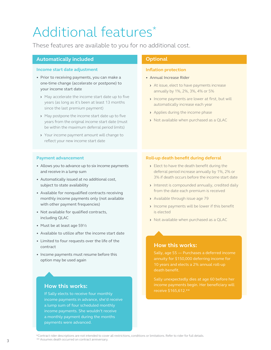## Additional features\*

These features are available to you for no additional cost.

#### **Automatically included**

#### **Income start date adjustment**

- Prior to receiving payments, you can make a one-time change (accelerate or postpone) to your income start date
	- **›** May accelerate the income start date up to five years (as long as it's been at least 13 months since the last premium payment)
	- **›** May postpone the income start date up to five years from the original income start date (must be within the maximum deferral period limits)
	- **›** Your income payment amount will change to reflect your new income start date

#### **Payment advancement**

- Allows you to advance up to six income payments and receive in a lump sum
- Automatically issued at no additional cost, subject to state availability
- Available for nonqualified contracts receiving monthly income payments only (not available with other payment frequencies)
- Not available for qualified contracts, including QLAC
- Must be at least age 59½
- Available to utilize after the income start date
- Limited to four requests over the life of the contract
- Income payments must resume before this option may be used again

#### **How this works:**

If Sally elects to receive four monthly income payments in advance, she'd receive a lump sum of four scheduled monthly income payments. She wouldn't receive a monthly payment during the months payments were advanced.

#### **Optional**

#### **Inflation protection**

- Annual Increase Rider
	- **›** At issue, elect to have payments increase annually by 1%, 2%, 3%, 4% or 5%
	- **›** Income payments are lower at first, but will automatically increase each year
	- **›** Applies during the income phase
	- **›** Not available when purchased as a QLAC

#### **Roll-up death benefit during deferral**

- **›** Elect to have the death benefit during the deferral period increase annually by 1%, 2% or 3% if death occurs before the income start date
- **›** Interest is compounded annually, credited daily from the date each premium is received
- **›** Available through issue age 79
- **›** Income payments will be lower if this benefit is elected
- **›** Not available when purchased as a QLAC

#### **How this works:**

annuity for \$150,000 deferring income for death benefit.

income payments begin. Her beneficiary will receive \$165,612.\*\*

\*Contract rider descriptions are not intended to cover all restrictions, conditions or limitations. Refer to rider for full details. \*\* Assumes death occurred on contract anniversary. 3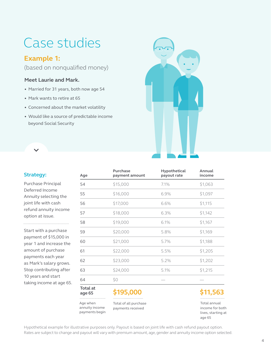## Case studies

## **Example 1:**

(based on nonqualified money)

#### **Meet Laurie and Mark.**

- Married for 31 years, both now age 54
- Mark wants to retire at 65
- Concerned about the market volatility
- Would like a source of predictable income beyond Social Security



#### **Strategy:**

Purchase Principal Deferred Income Annuity selecting the joint life with cash refund annuity income option at issue. 

Start with a purchase payment of \$15,000 in year 1 and increase the amount of purchase payments each year as Mark's salary grows. Stop contributing after 10 years and start taking income at age 65.

| Age                                          | <b>Purchase</b><br>payment amount          | Hypothetical<br>payout rate | Annual<br>income                                                |
|----------------------------------------------|--------------------------------------------|-----------------------------|-----------------------------------------------------------------|
| 54                                           | \$15,000                                   | 7.1%                        | \$1,063                                                         |
| 55                                           | \$16,000                                   | 6.9%                        | \$1,097                                                         |
| 56                                           | \$17,000                                   | 6.6%                        | \$1,115                                                         |
| 57                                           | \$18,000                                   | 6.3%                        | \$1,142                                                         |
| 58                                           | \$19,000                                   | 6.1%                        | \$1,167                                                         |
| 59                                           | \$20,000                                   | 5.8%                        | \$1,169                                                         |
| 60                                           | \$21,000                                   | 5.7%                        | \$1,188                                                         |
| 61                                           | \$22,000                                   | 5.5%                        | \$1,205                                                         |
| 62                                           | \$23,000                                   | 5.2%                        | \$1,202                                                         |
| 63                                           | \$24,000                                   | 5.1%                        | \$1,215                                                         |
| 64                                           | \$0                                        |                             |                                                                 |
| <b>Total</b> at<br>age 65<br>.               | \$195,000                                  |                             | \$11,563                                                        |
| Age when<br>annuity income<br>payments begin | Total of all purchase<br>payments received |                             | Total annual<br>income for both<br>lives, starting at<br>age 65 |

Hypothetical example for illustrative purposes only. Payout is based on joint life with cash refund payout option. Rates are subject to change and payout will vary with premium amount, age, gender and annuity income option selected.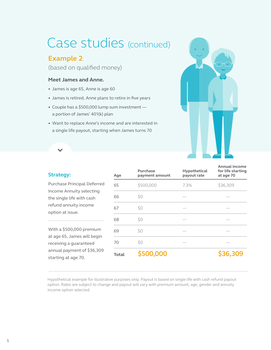## Case studies (continued)

## **Example 2**:

(based on qualified money)

#### **Meet James and Anne.**

- James is age 65, Anne is age 60
- James is retired, Anne plans to retire in five years
- Couple has a \$500,000 lump sum investment a portion of James' 401(k) plan
- Want to replace Anne's income and are interested in a single life payout, starting when James turns 70



## **Strategy:** Purchase Principal Deferred Income Annuity selecting the single life with cash refund annuity income

option at issue.

With a \$500,000 premium at age 65, James will begin receiving a guaranteed annual payment of \$36,309 starting at age 70.

| Age          | Purchase<br>payment amount | Hypothetical<br>payout rate | <b>Annual income</b><br>for life starting<br>at age 70 |
|--------------|----------------------------|-----------------------------|--------------------------------------------------------|
| 65           | \$500,000                  | 7.3%                        | \$36,309                                               |
| 66           | \$0                        |                             |                                                        |
| 67           | \$0                        |                             |                                                        |
| 68           | \$0                        |                             |                                                        |
| 69           | \$0                        |                             |                                                        |
| 70           | \$0                        |                             |                                                        |
| <b>Total</b> | \$500,000                  |                             | \$36,309                                               |

Hypothetical example for illustrative purposes only. Payout is based on single life with cash refund payout option. Rates are subject to change and payout will vary with premium amount, age, gender and annuity income option selected.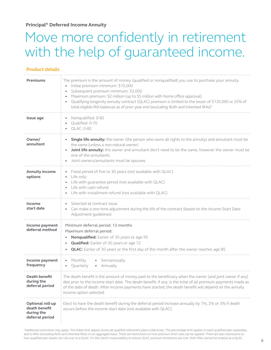**Principal® Deferred Income Annuity**

## Move more confidently in retirement with the help of guaranteed income.

#### **Product details**

| <b>Premiums</b>                                                    | The premium is the amount of money (qualified or nonqualified) you use to purchase your annuity.<br>Initial premium minimum: \$10,000<br>Subsequent premium minimum: \$2,000<br>Maximum premium: \$2 million (up to \$5 million with home office approval)<br>Qualifying longevity annuity contract (QLAC) premium is limited to the lesser of \$135,000 or 25% of<br>total eligible IRA balances as of prior year end (excluding Roth and Inherited IRAs) <sup>1</sup> |
|--------------------------------------------------------------------|-------------------------------------------------------------------------------------------------------------------------------------------------------------------------------------------------------------------------------------------------------------------------------------------------------------------------------------------------------------------------------------------------------------------------------------------------------------------------|
| Issue age                                                          | Nonqualified: 0-82<br>Qualified: 0-70<br><b>QLAC: 0-82</b>                                                                                                                                                                                                                                                                                                                                                                                                              |
| Owner/<br>annuitant                                                | Single life annuity: the owner (the person who owns all rights to the annuity) and annuitant must be<br>the same (unless a non-natural owner)<br>Joint life annuity: the owner and annuitant don't need to be the same, however the owner must be<br>one of the annuitants<br>Joint owners/annuitants must be spouses                                                                                                                                                   |
| Annuity income<br>options                                          | Fixed period of five to 30 years (not available with QLAC)<br>$\bullet$<br>Life only<br>Life with guarantee period (not available with QLAC)<br>Life with cash refund<br>Life with installment refund (not available with QLAC)                                                                                                                                                                                                                                         |
| Income<br>start date                                               | Selected at contract issue<br>Can make a one-time adjustment during the life of the contract (based on the Income Start Date<br>Adjustment guidelines)                                                                                                                                                                                                                                                                                                                  |
| Income payment<br>deferral method                                  | Minimum deferral period: 13 months<br>Maximum deferral period:<br>Nonqualified: Earlier of 30 years or age 95<br>Qualified: Earlier of 30 years or age 72<br><b>QLAC:</b> Earlier of 30 years or the first day of the month after the owner reaches age 85                                                                                                                                                                                                              |
| Income payment<br>frequency                                        | Monthly<br>• Semiannually<br>Quarterly<br>• Annually                                                                                                                                                                                                                                                                                                                                                                                                                    |
| Death benefit<br>during the<br>deferral period                     | The death benefit is the amount of money paid to the beneficiary when the owner (and joint owner if any)<br>dies prior to the income start date. The death benefit, if any, is the total of all premium payments made as<br>of the date of death. After income payments have started, the death benefit will depend on the annuity<br>income option selected.                                                                                                           |
| Optional roll-up<br>death benefit<br>during the<br>deferral period | Elect to have the death benefit during the deferral period increase annually by 1%, 2% or 3% if death<br>occurs before the income start date (not available with QLAC).                                                                                                                                                                                                                                                                                                 |

<sup>&</sup>lt;sup>1</sup>Additional restrictions may apply. The dollar limit applies across all qualified retirement plans collectively. The percentage limit applies to each qualified plan separately and to IRAs (excluding Roth and Inherited IRAs) on an aggregate basis. There are restrictions on how premium limit rules can be applied. There are also restrictions on how qualified plan assets can roll over to a QLAC. It's the client's responsibility to ensure QLAC premium limitations are met. Roth IRAs cannot be treated as a QLAC.